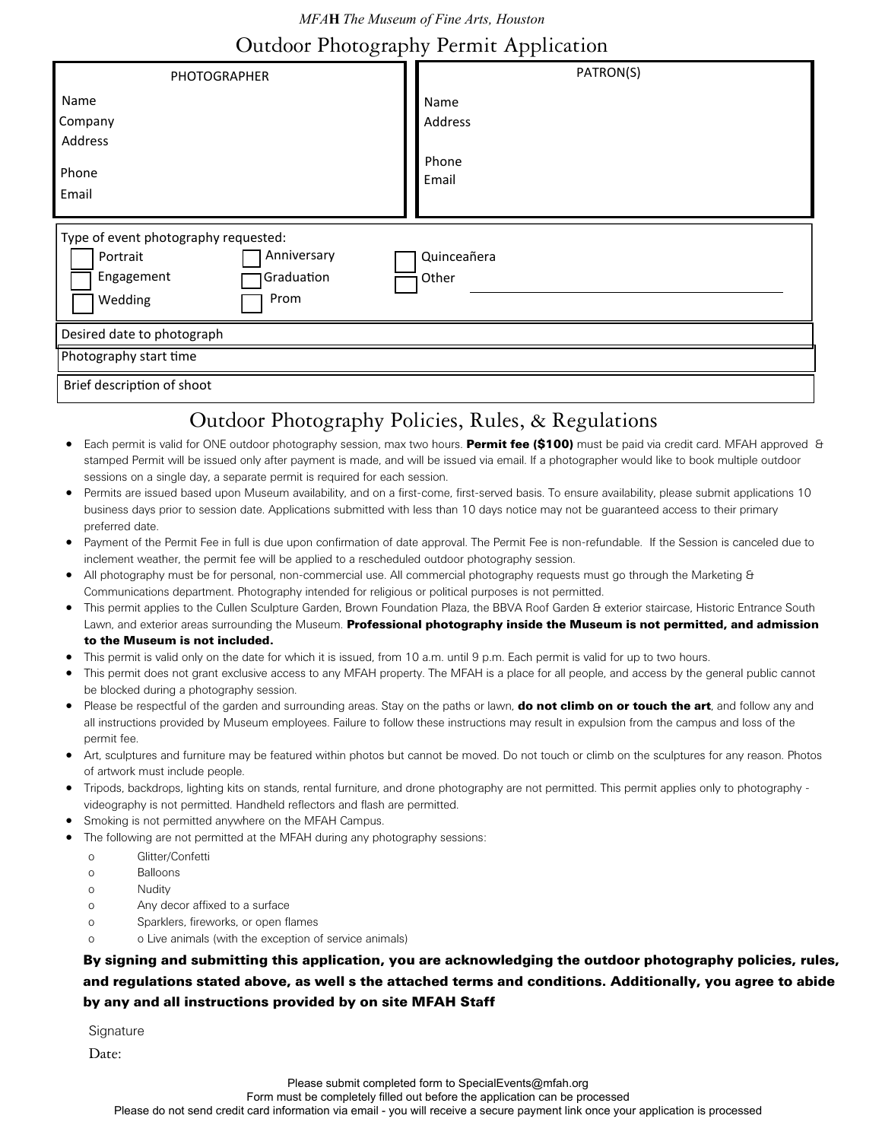*MFA***H** *The Museum of Fine Arts, Houston*

# Outdoor Photography Permit Application

| PHOTOGRAPHER                                                                                                   | PATRON(S)                                                                                                                                                                                                                                                                                  |
|----------------------------------------------------------------------------------------------------------------|--------------------------------------------------------------------------------------------------------------------------------------------------------------------------------------------------------------------------------------------------------------------------------------------|
| Name                                                                                                           | Name                                                                                                                                                                                                                                                                                       |
| Company                                                                                                        | Address                                                                                                                                                                                                                                                                                    |
| Address                                                                                                        |                                                                                                                                                                                                                                                                                            |
| Phone<br>Email                                                                                                 | Phone<br>Email                                                                                                                                                                                                                                                                             |
| Type of event photography requested:<br>Anniversary<br>Portrait<br>Graduation<br>Engagement<br>Wedding<br>Prom | Quinceañera<br>Other                                                                                                                                                                                                                                                                       |
| Desired date to photograph                                                                                     |                                                                                                                                                                                                                                                                                            |
| Photography start time                                                                                         |                                                                                                                                                                                                                                                                                            |
| Brief description of shoot                                                                                     |                                                                                                                                                                                                                                                                                            |
|                                                                                                                | Outdoor Photography Policies, Rules, & Regulations                                                                                                                                                                                                                                         |
| ٠<br>sessions on a single day, a separate permit is required for each session.                                 | Each permit is valid for ONE outdoor photography session, max two hours. Permit fee (\$100) must be paid via credit card. MFAH approved &<br>stamped Permit will be issued only after payment is made, and will be issued via email. If a photographer would like to book multiple outdoor |

- Permits are issued based upon Museum availability, and on a first-come, first-served basis. To ensure availability, please submit applications 10 business days prior to session date. Applications submitted with less than 10 days notice may not be guaranteed access to their primary preferred date.
- Payment of the Permit Fee in full is due upon confirmation of date approval. The Permit Fee is non-refundable. If the Session is canceled due to inclement weather, the permit fee will be applied to a rescheduled outdoor photography session.
- All photography must be for personal, non-commercial use. All commercial photography requests must go through the Marketing & Communications department. Photography intended for religious or political purposes is not permitted.
- This permit applies to the Cullen Sculpture Garden, Brown Foundation Plaza, the BBVA Roof Garden & exterior staircase, Historic Entrance South Lawn, and exterior areas surrounding the Museum. Professional photography inside the Museum is not permitted, and admission to the Museum is not included.
- This permit is valid only on the date for which it is issued, from 10 a.m. until 9 p.m. Each permit is valid for up to two hours.
- This permit does not grant exclusive access to any MFAH property. The MFAH is a place for all people, and access by the general public cannot be blocked during a photography session.
- Please be respectful of the garden and surrounding areas. Stay on the paths or lawn, **do not climb on or touch the art**, and follow any and all instructions provided by Museum employees. Failure to follow these instructions may result in expulsion from the campus and loss of the permit fee.
- Art, sculptures and furniture may be featured within photos but cannot be moved. Do not touch or climb on the sculptures for any reason. Photos of artwork must include people.
- Tripods, backdrops, lighting kits on stands, rental furniture, and drone photography are not permitted. This permit applies only to photography videography is not permitted. Handheld reflectors and flash are permitted.
- Smoking is not permitted anywhere on the MFAH Campus.
- The following are not permitted at the MFAH during any photography sessions:
	- o Glitter/Confetti
	- o Balloons
	- o Nudity
	- o Any decor affixed to a surface
	- o Sparklers, fireworks, or open flames
	- o o Live animals (with the exception of service animals)

## By signing and submitting this application, you are acknowledging the outdoor photography policies, rules, and regulations stated above, as well s the attached terms and conditions. Additionally, you agree to abide by any and all instructions provided by on site MFAH Staff

**Signature** 

Date: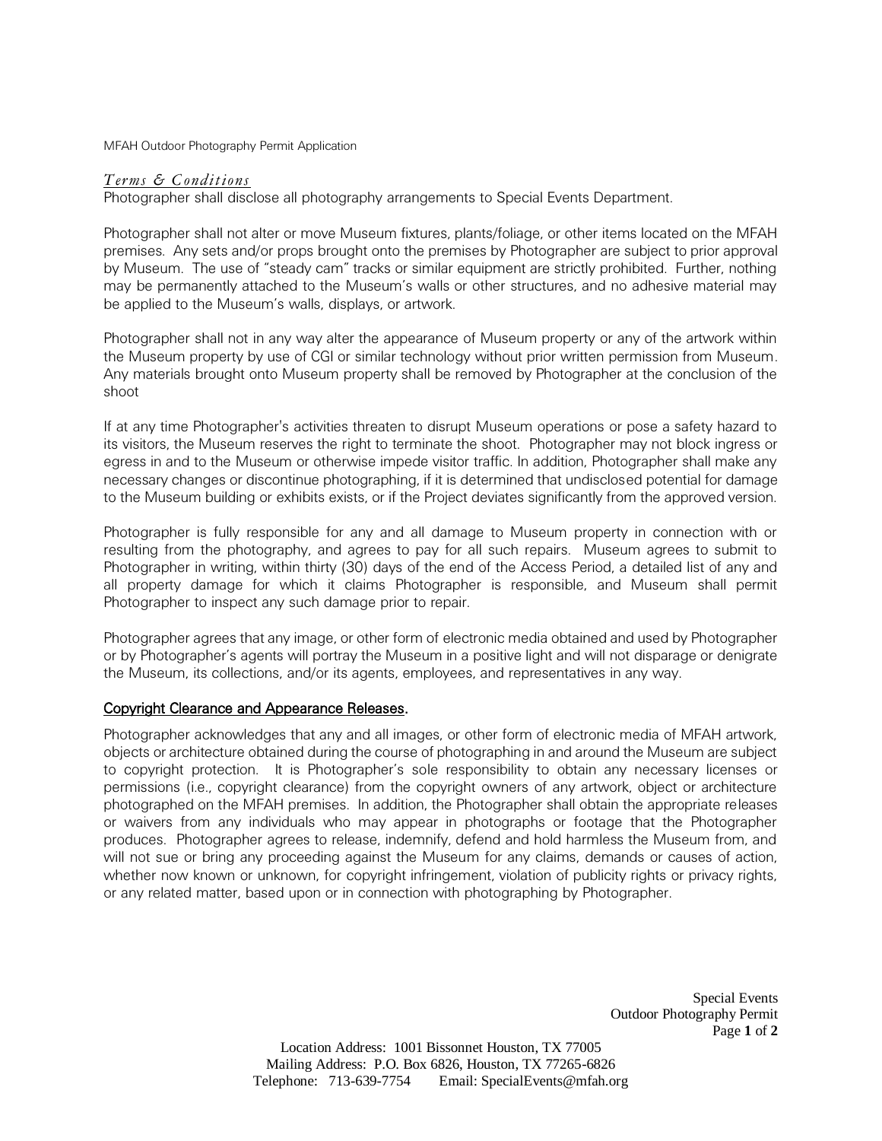MFAH Outdoor Photography Permit Application

#### *Terms & Conditions*

Photographer shall disclose all photography arrangements to Special Events Department.

Photographer shall not alter or move Museum fixtures, plants/foliage, or other items located on the MFAH premises. Any sets and/or props brought onto the premises by Photographer are subject to prior approval by Museum. The use of "steady cam" tracks or similar equipment are strictly prohibited. Further, nothing may be permanently attached to the Museum's walls or other structures, and no adhesive material may be applied to the Museum's walls, displays, or artwork.

Photographer shall not in any way alter the appearance of Museum property or any of the artwork within the Museum property by use of CGI or similar technology without prior written permission from Museum. Any materials brought onto Museum property shall be removed by Photographer at the conclusion of the shoot

If at any time Photographer's activities threaten to disrupt Museum operations or pose a safety hazard to its visitors, the Museum reserves the right to terminate the shoot. Photographer may not block ingress or egress in and to the Museum or otherwise impede visitor traffic. In addition, Photographer shall make any necessary changes or discontinue photographing, if it is determined that undisclosed potential for damage to the Museum building or exhibits exists, or if the Project deviates significantly from the approved version.

Photographer is fully responsible for any and all damage to Museum property in connection with or resulting from the photography, and agrees to pay for all such repairs. Museum agrees to submit to Photographer in writing, within thirty (30) days of the end of the Access Period, a detailed list of any and all property damage for which it claims Photographer is responsible, and Museum shall permit Photographer to inspect any such damage prior to repair.

Photographer agrees that any image, or other form of electronic media obtained and used by Photographer or by Photographer's agents will portray the Museum in a positive light and will not disparage or denigrate the Museum, its collections, and/or its agents, employees, and representatives in any way.

### Copyright Clearance and Appearance Releases.

Photographer acknowledges that any and all images, or other form of electronic media of MFAH artwork, objects or architecture obtained during the course of photographing in and around the Museum are subject to copyright protection. It is Photographer's sole responsibility to obtain any necessary licenses or permissions (i.e., copyright clearance) from the copyright owners of any artwork, object or architecture photographed on the MFAH premises. In addition, the Photographer shall obtain the appropriate releases or waivers from any individuals who may appear in photographs or footage that the Photographer produces. Photographer agrees to release, indemnify, defend and hold harmless the Museum from, and will not sue or bring any proceeding against the Museum for any claims, demands or causes of action, whether now known or unknown, for copyright infringement, violation of publicity rights or privacy rights, or any related matter, based upon or in connection with photographing by Photographer.

> Special Events Outdoor Photography Permit Page **1** of **2**